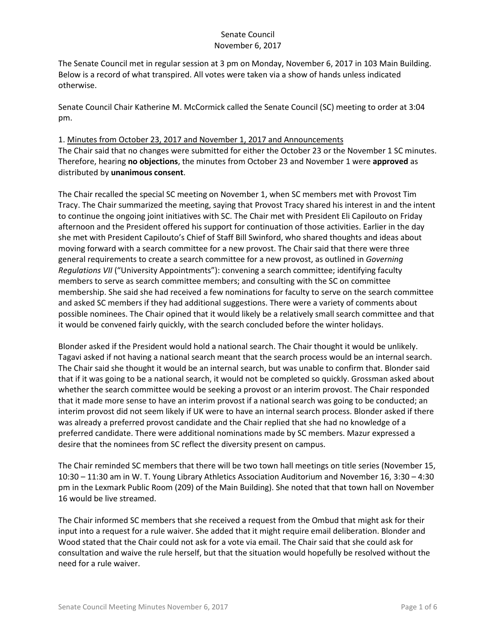The Senate Council met in regular session at 3 pm on Monday, November 6, 2017 in 103 Main Building. Below is a record of what transpired. All votes were taken via a show of hands unless indicated otherwise.

Senate Council Chair Katherine M. McCormick called the Senate Council (SC) meeting to order at 3:04 pm.

## 1. Minutes from October 23, 2017 and November 1, 2017 and Announcements

The Chair said that no changes were submitted for either the October 23 or the November 1 SC minutes. Therefore, hearing **no objections**, the minutes from October 23 and November 1 were **approved** as distributed by **unanimous consent**.

The Chair recalled the special SC meeting on November 1, when SC members met with Provost Tim Tracy. The Chair summarized the meeting, saying that Provost Tracy shared his interest in and the intent to continue the ongoing joint initiatives with SC. The Chair met with President Eli Capilouto on Friday afternoon and the President offered his support for continuation of those activities. Earlier in the day she met with President Capilouto's Chief of Staff Bill Swinford, who shared thoughts and ideas about moving forward with a search committee for a new provost. The Chair said that there were three general requirements to create a search committee for a new provost, as outlined in *Governing Regulations VII* ("University Appointments"): convening a search committee; identifying faculty members to serve as search committee members; and consulting with the SC on committee membership. She said she had received a few nominations for faculty to serve on the search committee and asked SC members if they had additional suggestions. There were a variety of comments about possible nominees. The Chair opined that it would likely be a relatively small search committee and that it would be convened fairly quickly, with the search concluded before the winter holidays.

Blonder asked if the President would hold a national search. The Chair thought it would be unlikely. Tagavi asked if not having a national search meant that the search process would be an internal search. The Chair said she thought it would be an internal search, but was unable to confirm that. Blonder said that if it was going to be a national search, it would not be completed so quickly. Grossman asked about whether the search committee would be seeking a provost or an interim provost. The Chair responded that it made more sense to have an interim provost if a national search was going to be conducted; an interim provost did not seem likely if UK were to have an internal search process. Blonder asked if there was already a preferred provost candidate and the Chair replied that she had no knowledge of a preferred candidate. There were additional nominations made by SC members. Mazur expressed a desire that the nominees from SC reflect the diversity present on campus.

The Chair reminded SC members that there will be two town hall meetings on title series (November 15, 10:30 – 11:30 am in W. T. Young Library Athletics Association Auditorium and November 16, 3:30 – 4:30 pm in the Lexmark Public Room (209) of the Main Building). She noted that that town hall on November 16 would be live streamed.

The Chair informed SC members that she received a request from the Ombud that might ask for their input into a request for a rule waiver. She added that it might require email deliberation. Blonder and Wood stated that the Chair could not ask for a vote via email. The Chair said that she could ask for consultation and waive the rule herself, but that the situation would hopefully be resolved without the need for a rule waiver.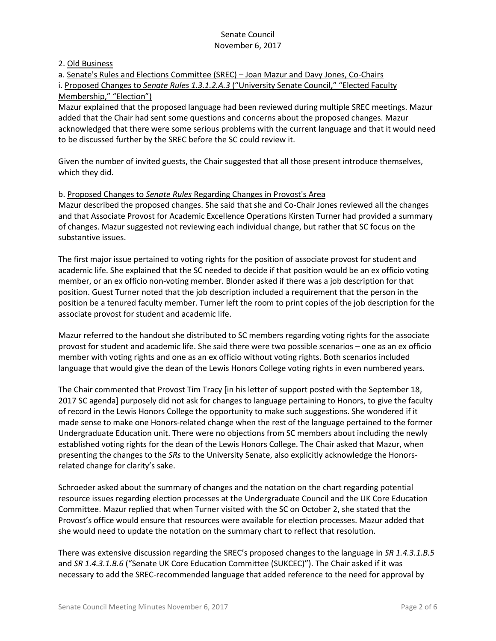### 2. Old Business

a. Senate's Rules and Elections Committee (SREC) – Joan Mazur and Davy Jones, Co-Chairs i. Proposed Changes to *Senate Rules 1.3.1.2.A.3* ("University Senate Council," "Elected Faculty Membership," "Election")

Mazur explained that the proposed language had been reviewed during multiple SREC meetings. Mazur added that the Chair had sent some questions and concerns about the proposed changes. Mazur acknowledged that there were some serious problems with the current language and that it would need to be discussed further by the SREC before the SC could review it.

Given the number of invited guests, the Chair suggested that all those present introduce themselves, which they did.

### b. Proposed Changes to *Senate Rules* Regarding Changes in Provost's Area

Mazur described the proposed changes. She said that she and Co-Chair Jones reviewed all the changes and that Associate Provost for Academic Excellence Operations Kirsten Turner had provided a summary of changes. Mazur suggested not reviewing each individual change, but rather that SC focus on the substantive issues.

The first major issue pertained to voting rights for the position of associate provost for student and academic life. She explained that the SC needed to decide if that position would be an ex officio voting member, or an ex officio non-voting member. Blonder asked if there was a job description for that position. Guest Turner noted that the job description included a requirement that the person in the position be a tenured faculty member. Turner left the room to print copies of the job description for the associate provost for student and academic life.

Mazur referred to the handout she distributed to SC members regarding voting rights for the associate provost for student and academic life. She said there were two possible scenarios – one as an ex officio member with voting rights and one as an ex officio without voting rights. Both scenarios included language that would give the dean of the Lewis Honors College voting rights in even numbered years.

The Chair commented that Provost Tim Tracy [in his letter of support posted with the September 18, 2017 SC agenda] purposely did not ask for changes to language pertaining to Honors, to give the faculty of record in the Lewis Honors College the opportunity to make such suggestions. She wondered if it made sense to make one Honors-related change when the rest of the language pertained to the former Undergraduate Education unit. There were no objections from SC members about including the newly established voting rights for the dean of the Lewis Honors College. The Chair asked that Mazur, when presenting the changes to the *SRs* to the University Senate, also explicitly acknowledge the Honorsrelated change for clarity's sake.

Schroeder asked about the summary of changes and the notation on the chart regarding potential resource issues regarding election processes at the Undergraduate Council and the UK Core Education Committee. Mazur replied that when Turner visited with the SC on October 2, she stated that the Provost's office would ensure that resources were available for election processes. Mazur added that she would need to update the notation on the summary chart to reflect that resolution.

There was extensive discussion regarding the SREC's proposed changes to the language in *SR 1.4.3.1.B.5*  and *SR 1.4.3.1.B.6* ("Senate UK Core Education Committee (SUKCEC)"). The Chair asked if it was necessary to add the SREC-recommended language that added reference to the need for approval by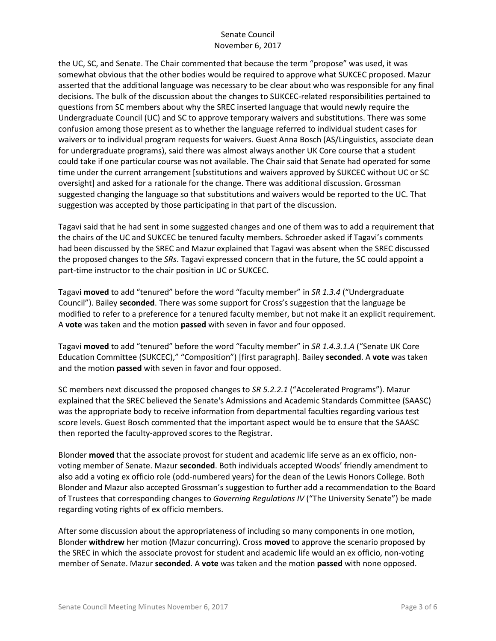the UC, SC, and Senate. The Chair commented that because the term "propose" was used, it was somewhat obvious that the other bodies would be required to approve what SUKCEC proposed. Mazur asserted that the additional language was necessary to be clear about who was responsible for any final decisions. The bulk of the discussion about the changes to SUKCEC-related responsibilities pertained to questions from SC members about why the SREC inserted language that would newly require the Undergraduate Council (UC) and SC to approve temporary waivers and substitutions. There was some confusion among those present as to whether the language referred to individual student cases for waivers or to individual program requests for waivers. Guest Anna Bosch (AS/Linguistics, associate dean for undergraduate programs), said there was almost always another UK Core course that a student could take if one particular course was not available. The Chair said that Senate had operated for some time under the current arrangement [substitutions and waivers approved by SUKCEC without UC or SC oversight] and asked for a rationale for the change. There was additional discussion. Grossman suggested changing the language so that substitutions and waivers would be reported to the UC. That suggestion was accepted by those participating in that part of the discussion.

Tagavi said that he had sent in some suggested changes and one of them was to add a requirement that the chairs of the UC and SUKCEC be tenured faculty members. Schroeder asked if Tagavi's comments had been discussed by the SREC and Mazur explained that Tagavi was absent when the SREC discussed the proposed changes to the *SRs*. Tagavi expressed concern that in the future, the SC could appoint a part-time instructor to the chair position in UC or SUKCEC.

Tagavi **moved** to add "tenured" before the word "faculty member" in *SR 1.3.4* ("Undergraduate Council"). Bailey **seconded**. There was some support for Cross's suggestion that the language be modified to refer to a preference for a tenured faculty member, but not make it an explicit requirement. A **vote** was taken and the motion **passed** with seven in favor and four opposed.

Tagavi **moved** to add "tenured" before the word "faculty member" in *SR 1.4.3.1.A* ("Senate UK Core Education Committee (SUKCEC)," "Composition") [first paragraph]. Bailey **seconded**. A **vote** was taken and the motion **passed** with seven in favor and four opposed.

SC members next discussed the proposed changes to *SR 5.2.2.1* ("Accelerated Programs"). Mazur explained that the SREC believed the Senate's Admissions and Academic Standards Committee (SAASC) was the appropriate body to receive information from departmental faculties regarding various test score levels. Guest Bosch commented that the important aspect would be to ensure that the SAASC then reported the faculty-approved scores to the Registrar.

Blonder **moved** that the associate provost for student and academic life serve as an ex officio, nonvoting member of Senate. Mazur **seconded**. Both individuals accepted Woods' friendly amendment to also add a voting ex officio role (odd-numbered years) for the dean of the Lewis Honors College. Both Blonder and Mazur also accepted Grossman's suggestion to further add a recommendation to the Board of Trustees that corresponding changes to *Governing Regulations IV* ("The University Senate") be made regarding voting rights of ex officio members.

After some discussion about the appropriateness of including so many components in one motion, Blonder **withdrew** her motion (Mazur concurring). Cross **moved** to approve the scenario proposed by the SREC in which the associate provost for student and academic life would an ex officio, non-voting member of Senate. Mazur **seconded**. A **vote** was taken and the motion **passed** with none opposed.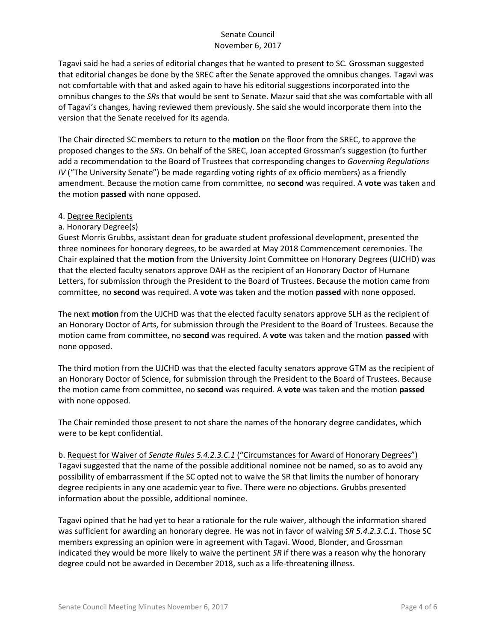Tagavi said he had a series of editorial changes that he wanted to present to SC. Grossman suggested that editorial changes be done by the SREC after the Senate approved the omnibus changes. Tagavi was not comfortable with that and asked again to have his editorial suggestions incorporated into the omnibus changes to the *SRs* that would be sent to Senate. Mazur said that she was comfortable with all of Tagavi's changes, having reviewed them previously. She said she would incorporate them into the version that the Senate received for its agenda.

The Chair directed SC members to return to the **motion** on the floor from the SREC, to approve the proposed changes to the *SRs*. On behalf of the SREC, Joan accepted Grossman's suggestion (to further add a recommendation to the Board of Trustees that corresponding changes to *Governing Regulations IV* ("The University Senate") be made regarding voting rights of ex officio members) as a friendly amendment. Because the motion came from committee, no **second** was required. A **vote** was taken and the motion **passed** with none opposed.

### 4. Degree Recipients

## a. Honorary Degree(s)

Guest Morris Grubbs, assistant dean for graduate student professional development, presented the three nominees for honorary degrees, to be awarded at May 2018 Commencement ceremonies. The Chair explained that the **motion** from the University Joint Committee on Honorary Degrees (UJCHD) was that the elected faculty senators approve DAH as the recipient of an Honorary Doctor of Humane Letters, for submission through the President to the Board of Trustees. Because the motion came from committee, no **second** was required. A **vote** was taken and the motion **passed** with none opposed.

The next **motion** from the UJCHD was that the elected faculty senators approve SLH as the recipient of an Honorary Doctor of Arts, for submission through the President to the Board of Trustees. Because the motion came from committee, no **second** was required. A **vote** was taken and the motion **passed** with none opposed.

The third motion from the UJCHD was that the elected faculty senators approve GTM as the recipient of an Honorary Doctor of Science, for submission through the President to the Board of Trustees. Because the motion came from committee, no **second** was required. A **vote** was taken and the motion **passed** with none opposed.

The Chair reminded those present to not share the names of the honorary degree candidates, which were to be kept confidential.

b. Request for Waiver of *Senate Rules 5.4.2.3.C.1* ("Circumstances for Award of Honorary Degrees") Tagavi suggested that the name of the possible additional nominee not be named, so as to avoid any possibility of embarrassment if the SC opted not to waive the SR that limits the number of honorary degree recipients in any one academic year to five. There were no objections. Grubbs presented information about the possible, additional nominee.

Tagavi opined that he had yet to hear a rationale for the rule waiver, although the information shared was sufficient for awarding an honorary degree. He was not in favor of waiving *SR 5.4.2.3.C.1*. Those SC members expressing an opinion were in agreement with Tagavi. Wood, Blonder, and Grossman indicated they would be more likely to waive the pertinent *SR* if there was a reason why the honorary degree could not be awarded in December 2018, such as a life-threatening illness.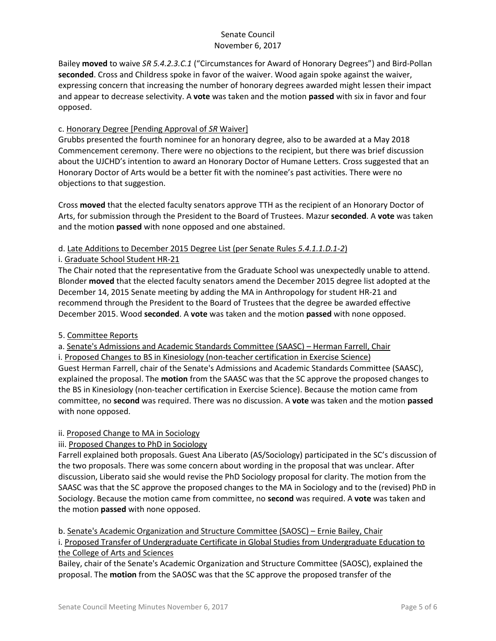Bailey **moved** to waive *SR 5.4.2.3.C.1* ("Circumstances for Award of Honorary Degrees") and Bird-Pollan **seconded**. Cross and Childress spoke in favor of the waiver. Wood again spoke against the waiver, expressing concern that increasing the number of honorary degrees awarded might lessen their impact and appear to decrease selectivity. A **vote** was taken and the motion **passed** with six in favor and four opposed.

## c. Honorary Degree [Pending Approval of *SR* Waiver]

Grubbs presented the fourth nominee for an honorary degree, also to be awarded at a May 2018 Commencement ceremony. There were no objections to the recipient, but there was brief discussion about the UJCHD's intention to award an Honorary Doctor of Humane Letters. Cross suggested that an Honorary Doctor of Arts would be a better fit with the nominee's past activities. There were no objections to that suggestion.

Cross **moved** that the elected faculty senators approve TTH as the recipient of an Honorary Doctor of Arts, for submission through the President to the Board of Trustees. Mazur **seconded**. A **vote** was taken and the motion **passed** with none opposed and one abstained.

## d. Late Additions to December 2015 Degree List (per Senate Rules *5.4.1.1.D.1-2*)

## i. Graduate School Student HR-21

The Chair noted that the representative from the Graduate School was unexpectedly unable to attend. Blonder **moved** that the elected faculty senators amend the December 2015 degree list adopted at the December 14, 2015 Senate meeting by adding the MA in Anthropology for student HR-21 and recommend through the President to the Board of Trustees that the degree be awarded effective December 2015. Wood **seconded**. A **vote** was taken and the motion **passed** with none opposed.

# 5. Committee Reports

a. Senate's Admissions and Academic Standards Committee (SAASC) – Herman Farrell, Chair i. Proposed Changes to BS in Kinesiology (non-teacher certification in Exercise Science) Guest Herman Farrell, chair of the Senate's Admissions and Academic Standards Committee (SAASC), explained the proposal. The **motion** from the SAASC was that the SC approve the proposed changes to the BS in Kinesiology (non-teacher certification in Exercise Science). Because the motion came from committee, no **second** was required. There was no discussion. A **vote** was taken and the motion **passed** with none opposed.

# ii. Proposed Change to MA in Sociology

# iii. Proposed Changes to PhD in Sociology

Farrell explained both proposals. Guest Ana Liberato (AS/Sociology) participated in the SC's discussion of the two proposals. There was some concern about wording in the proposal that was unclear. After discussion, Liberato said she would revise the PhD Sociology proposal for clarity. The motion from the SAASC was that the SC approve the proposed changes to the MA in Sociology and to the (revised) PhD in Sociology. Because the motion came from committee, no **second** was required. A **vote** was taken and the motion **passed** with none opposed.

# b. Senate's Academic Organization and Structure Committee (SAOSC) – Ernie Bailey, Chair

i. Proposed Transfer of Undergraduate Certificate in Global Studies from Undergraduate Education to the College of Arts and Sciences

Bailey, chair of the Senate's Academic Organization and Structure Committee (SAOSC), explained the proposal. The **motion** from the SAOSC was that the SC approve the proposed transfer of the